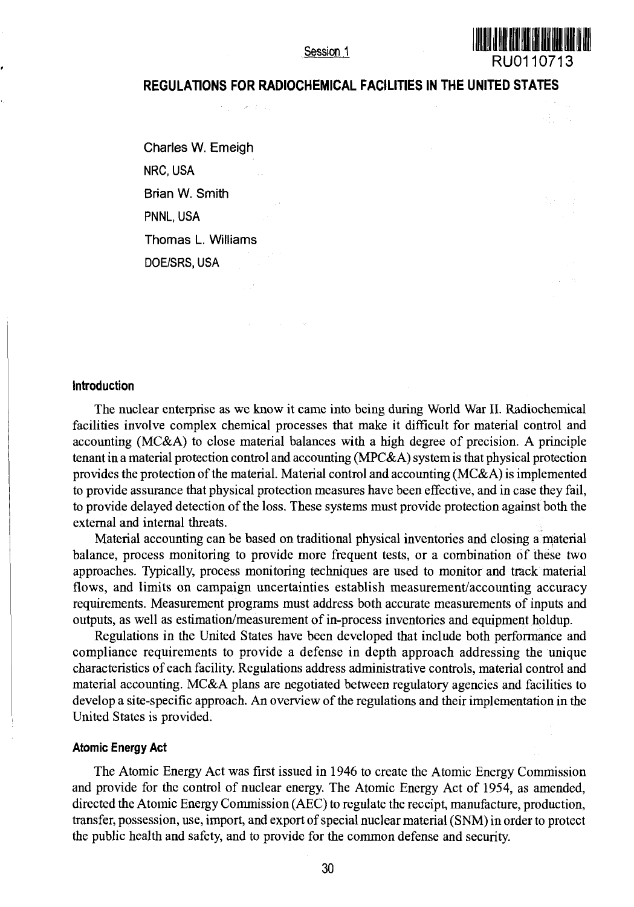Session<sub>1</sub>

# **RU0110713**

# **REGULATIONS FOR RADIOCHEMICAL FACILITIES IN THE UNITED STATES**

Charles W. Emeigh NRC, USA Brian W. Smith PNNL, USA Thomas L. Williams DOE/SRS, USA

### **Introduction**

The nuclear enterprise as we know it came into being during World War II. Radiochemical facilities involve complex chemical processes that make it difficult for material control and accounting (MC&A) to close material balances with a high degree of precision. A principle tenant in a material protection control and accounting (MPC& A) system is that physical protection provides the protection of the material. Material control and accounting ( $MC&A$ ) is implemented to provide assurance that physical protection measures have been effective, and in case they fail, to provide delayed detection of the loss. These systems must provide protection against both the external and internal threats.

Material accounting can be based on traditional physical inventories and closing a material balance, process monitoring to provide more frequent tests, or a combination of these two approaches. Typically, process monitoring techniques are used to monitor and track material flows, and limits on campaign uncertainties establish measurement/accounting accuracy requirements. Measurement programs must address both accurate measurements of inputs and outputs, as well as estimation/measurement of in-process inventories and equipment holdup.

Regulations in the United States have been developed that include both performance and compliance requirements to provide a defense in depth approach addressing the unique characteristics of each facility. Regulations address administrative controls, material control and material accounting. MC&A plans are negotiated between regulatory agencies and facilities to develop a site-specific approach. An overview of the regulations and their implementation in the United States is provided.

#### **Atomic Energy Act**

The Atomic Energy Act was first issued in 1946 to create the Atomic Energy Commission and provide for the control of nuclear energy. The Atomic Energy Act of 1954, as amended, directed the Atomic Energy Commission (AEC) to regulate the receipt, manufacture, production, transfer, possession, use, import, and export of special nuclear material (SNM) in order to protect the public health and safety, and to provide for the common defense and security.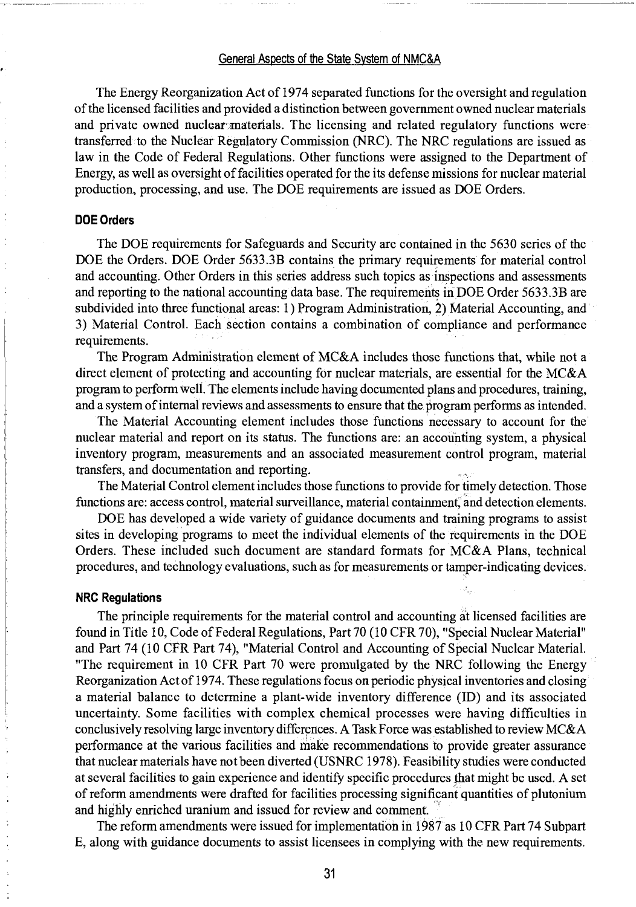#### General Aspects of the State System of NMC&A

The Energy Reorganization Act of 1974 separated functions for the oversight and regulation of the licensed facilities and provided a distinction between government owned nuclear materials and private owned nuclear'materials. The licensing and related regulatory functions were transferred to the Nuclear Regulatory Commission (NRC). The NRC regulations are issued as law in the Code of Federal Regulations. Other functions were assigned to the Department of Energy, as well as oversight of facilities operated for the its defense missions for nuclear material production, processing, and use. The DOE requirements are issued as DOE Orders.

#### **DOE Orders**

The DOE requirements for Safeguards and Security are contained in the 5630 series of the DOE the Orders. DOE Order 5633.3B contains the primary requirements for material control and accounting. Other Orders in this series address such topics as inspections and assessments and reporting to the national accounting data base. The requirements in DOE Order 5633.3B are subdivided into three functional areas: 1) Program Administration, *2)* Material Accounting, and 3) Material Control. Each section contains a combination of compliance and performance requirements.

The Program Administration element of MC&A includes those functions that, while not a direct element of protecting and accounting for nuclear materials, are essential for the MC&A program to perform well. The elements include having documented plans and procedures, training, and a system of internal reviews and assessments to ensure that the program performs as intended.

The Material Accounting element includes those functions necessary to account for the nuclear material and report on its status. The functions are: an accounting system, a physical inventory program, measurements and an associated measurement control program, material transfers, and documentation and reporting.

The Material Control element includes those functions to provide for timely detection. Those functions are: access control, material surveillance, material containment, and detection elements.

DOE has developed a wide variety of guidance documents and training programs to assist sites in developing programs to meet the individual elements of the requirements in the DOE Orders. These included such document are standard formats for MC&A Plans, technical procedures, and technology evaluations, such as for measurements or tamper-indicating devices.

#### **NRC Regulations**

The principle requirements for the material control and accounting at licensed facilities are found in Title 10, Code of Federal Regulations, Part 70 (10 CFR 70), "Special Nuclear Material" and Part 74 (10 CFR Part 74), "Material Control and Accounting of Special Nuclear Material. "The requirement in 10 CFR Part 70 were promulgated by the NRC following the Energy Reorganization Act of 1974. These regulations focus on periodic physical inventories and closing a material balance to determine a plant-wide inventory difference (ID) and its associated uncertainty. Some facilities with complex chemical processes were having difficulties in conclusively resolving large inventory differences. A Task Force was established to review MC&A performance at the various facilities and make recommendations to provide greater assurance that nuclear materials have not been diverted (USNRC 1978). Feasibility studies were conducted at several facilities to gain experience and identify specific procedures that might be used. A set of reform amendments were drafted for facilities processing significant quantities of plutonium and highly enriched uranium and issued for review and comment.

The reform amendments were issued for implementation in 1987 as 10 CFR Part 74 Subpart E, along with guidance documents to assist licensees in complying with the new requirements.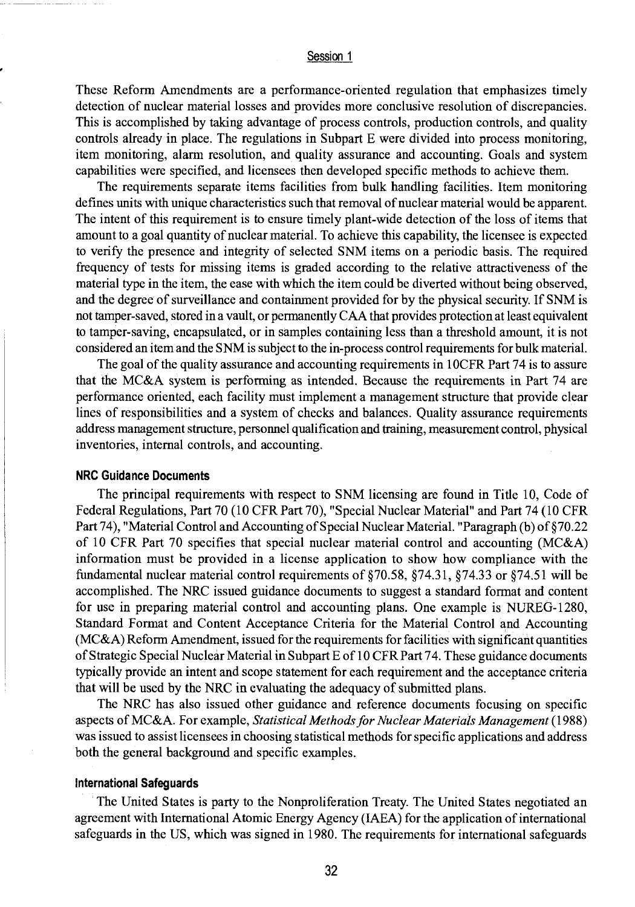## Session 1

These Reform Amendments are a performance-oriented regulation that emphasizes timely detection of nuclear material losses and provides more conclusive resolution of discrepancies. This is accomplished by taking advantage of process controls, production controls, and quality controls already in place. The regulations in Subpart E were divided into process monitoring, item monitoring, alarm resolution, and quality assurance and accounting. Goals and system capabilities were specified, and licensees then developed specific methods to achieve them.

The requirements separate items facilities from bulk handling facilities. Item monitoring defines units with unique characteristics such that removal of nuclear material would be apparent. The intent of this requirement is to ensure timely plant-wide detection of the loss of items that amount to a goal quantity of nuclear material. To achieve this capability, the licensee is expected to verify the presence and integrity of selected SNM items on a periodic basis. The required frequency of tests for missing items is graded according to the relative attractiveness of the material type in the item, the ease with which the item could be diverted without being observed, and the degree of surveillance and containment provided for by the physical security. If SNM is not tamper-saved, stored in a vault, or permanently CAA that provides protection at least equivalent to tamper-saving, encapsulated, or in samples containing less than a threshold amount, it is not considered an item and the SNM is subject to the in-process control requirements for bulk material.

The goal of the quality assurance and accounting requirements in 10CFR Part 74 is to assure that the MC&A system is performing as intended. Because the requirements in Part 74 are performance oriented, each facility must implement a management structure that provide clear lines of responsibilities and a system of checks and balances. Quality assurance requirements address management structure, personnel qualification and training, measurement control, physical inventories, internal controls, and accounting.

#### **NRC Guidance Documents**

The principal requirements with respect to SNM licensing are found in Title 10, Code of Federal Regulations, Part 70 (10 CFR Part 70), "Special Nuclear Material" and Part 74 (10 CFR Part 74), "Material Control and Accounting of Special Nuclear Material. "Paragraph (b) of §70.22 of 10 CFR Part 70 specifies that special nuclear material control and accounting (MC&A) information must be provided in a license application to show how compliance with the fundamental nuclear material control requirements of §70.58, §74.31, §74.33 or §74.51 will be accomplished. The NRC issued guidance documents to suggest a standard format and content for use in preparing material control and accounting plans. One example is NUREG-1280, Standard Format and Content Acceptance Criteria for the Material Control and Accounting (MC&A) Reform Amendment, issued for the requirements for facilities with significant quantities of Strategic Special Nuclear Material in Subpart E of 10 CFR Part 74. These guidance documents typically provide an intent and scope statement for each requirement and the acceptance criteria that will be used by the NRC in evaluating the adequacy of submitted plans.

The NRC has also issued other guidance and reference documents focusing on specific aspects of MC&A. For example, *Statistical Methods for Nuclear Materials Management* (1988) was issued to assist licensees in choosing statistical methods for specific applications and address both the general background and specific examples.

#### **international Safeguards**

The United States is party to the Nonproliferation Treaty. The United States negotiated an agreement with International Atomic Energy Agency (IAEA) for the application of international safeguards in the US, which was signed in 1980. The requirements for international safeguards